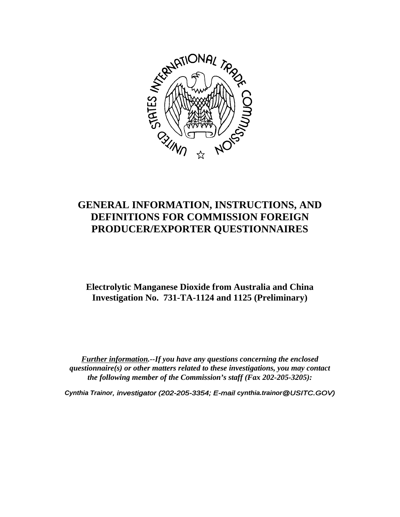

# **GENERAL INFORMATION, INSTRUCTIONS, AND DEFINITIONS FOR COMMISSION FOREIGN PRODUCER/EXPORTER QUESTIONNAIRES**

# **Electrolytic Manganese Dioxide from Australia and China Investigation No. 731-TA-1124 and 1125 (Preliminary)**

*Further information.--If you have any questions concerning the enclosed questionnaire(s) or other matters related to these investigations, you may contact the following member of the Commission's staff (Fax 202-205-3205):*

*Cynthia Trainor, investigator (202-205-3354; E-mail cynthia.trainor@USITC.GOV)*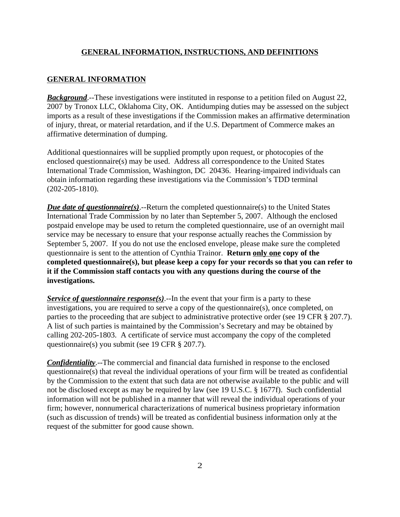#### **GENERAL INFORMATION, INSTRUCTIONS, AND DEFINITIONS**

#### **GENERAL INFORMATION**

*Background*.--These investigations were instituted in response to a petition filed on August 22, 2007 by Tronox LLC, Oklahoma City, OK. Antidumping duties may be assessed on the subject imports as a result of these investigations if the Commission makes an affirmative determination of injury, threat, or material retardation, and if the U.S. Department of Commerce makes an affirmative determination of dumping.

Additional questionnaires will be supplied promptly upon request, or photocopies of the enclosed questionnaire(s) may be used. Address all correspondence to the United States International Trade Commission, Washington, DC 20436. Hearing-impaired individuals can obtain information regarding these investigations via the Commission's TDD terminal (202-205-1810).

*Due date of questionnaire(s)*.--Return the completed questionnaire(s) to the United States International Trade Commission by no later than September 5, 2007. Although the enclosed postpaid envelope may be used to return the completed questionnaire, use of an overnight mail service may be necessary to ensure that your response actually reaches the Commission by September 5, 2007. If you do not use the enclosed envelope, please make sure the completed questionnaire is sent to the attention of Cynthia Trainor. **Return only one copy of the completed questionnaire(s), but please keep a copy for your records so that you can refer to it if the Commission staff contacts you with any questions during the course of the investigations.**

*Service of questionnaire response(s).*--In the event that your firm is a party to these investigations, you are required to serve a copy of the questionnaire(s), once completed, on parties to the proceeding that are subject to administrative protective order (see 19 CFR § 207.7). A list of such parties is maintained by the Commission's Secretary and may be obtained by calling 202-205-1803. A certificate of service must accompany the copy of the completed questionnaire(s) you submit (see 19 CFR § 207.7).

*Confidentiality*.--The commercial and financial data furnished in response to the enclosed questionnaire(s) that reveal the individual operations of your firm will be treated as confidential by the Commission to the extent that such data are not otherwise available to the public and will not be disclosed except as may be required by law (see 19 U.S.C. § 1677f). Such confidential information will not be published in a manner that will reveal the individual operations of your firm; however, nonnumerical characterizations of numerical business proprietary information (such as discussion of trends) will be treated as confidential business information only at the request of the submitter for good cause shown.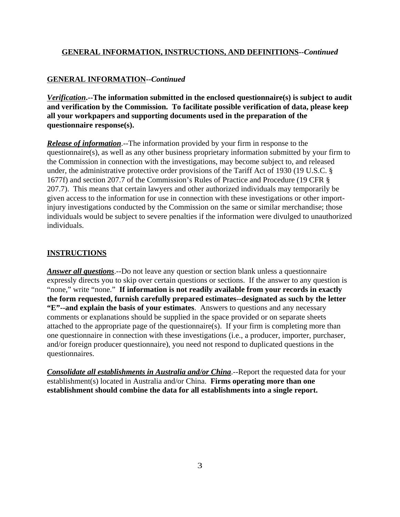#### **GENERAL INFORMATION, INSTRUCTIONS, AND DEFINITIONS--***Continued*

# **GENERAL INFORMATION--***Continued*

*Verification***.--The information submitted in the enclosed questionnaire(s) is subject to audit and verification by the Commission. To facilitate possible verification of data, please keep all your workpapers and supporting documents used in the preparation of the questionnaire response(s).**

*Release of information*.--The information provided by your firm in response to the questionnaire(s), as well as any other business proprietary information submitted by your firm to the Commission in connection with the investigations, may become subject to, and released under, the administrative protective order provisions of the Tariff Act of 1930 (19 U.S.C. § 1677f) and section 207.7 of the Commission's Rules of Practice and Procedure (19 CFR § 207.7). This means that certain lawyers and other authorized individuals may temporarily be given access to the information for use in connection with these investigations or other importinjury investigations conducted by the Commission on the same or similar merchandise; those individuals would be subject to severe penalties if the information were divulged to unauthorized individuals.

#### **INSTRUCTIONS**

*Answer all questions*.--Do not leave any question or section blank unless a questionnaire expressly directs you to skip over certain questions or sections. If the answer to any question is "none," write "none." **If information is not readily available from your records in exactly the form requested, furnish carefully prepared estimates--designated as such by the letter "E"--and explain the basis of your estimates**. Answers to questions and any necessary comments or explanations should be supplied in the space provided or on separate sheets attached to the appropriate page of the questionnaire(s). If your firm is completing more than one questionnaire in connection with these investigations (i.e., a producer, importer, purchaser, and/or foreign producer questionnaire), you need not respond to duplicated questions in the questionnaires.

*Consolidate all establishments in Australia and/or China*.--Report the requested data for your establishment(s) located in Australia and/or China. **Firms operating more than one establishment should combine the data for all establishments into a single report.**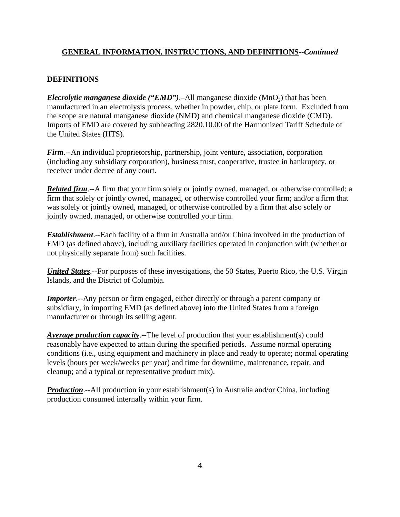# **GENERAL INFORMATION, INSTRUCTIONS, AND DEFINITIONS--***Continued*

# **DEFINITIONS**

*Elecrolytic manganese dioxide ("EMD")*.–All manganese dioxide (MnO<sub>2</sub>) that has been manufactured in an electrolysis process, whether in powder, chip, or plate form. Excluded from the scope are natural manganese dioxide (NMD) and chemical manganese dioxide (CMD). Imports of EMD are covered by subheading 2820.10.00 of the Harmonized Tariff Schedule of the United States (HTS).

*Firm*.--An individual proprietorship, partnership, joint venture, association, corporation (including any subsidiary corporation), business trust, cooperative, trustee in bankruptcy, or receiver under decree of any court.

*Related firm*.--A firm that your firm solely or jointly owned, managed, or otherwise controlled; a firm that solely or jointly owned, managed, or otherwise controlled your firm; and/or a firm that was solely or jointly owned, managed, or otherwise controlled by a firm that also solely or jointly owned, managed, or otherwise controlled your firm.

*Establishment*.--Each facility of a firm in Australia and/or China involved in the production of EMD (as defined above), including auxiliary facilities operated in conjunction with (whether or not physically separate from) such facilities.

*United States*.--For purposes of these investigations, the 50 States, Puerto Rico, the U.S. Virgin Islands, and the District of Columbia.

*Importer*.--Any person or firm engaged, either directly or through a parent company or subsidiary, in importing EMD (as defined above) into the United States from a foreign manufacturer or through its selling agent.

*Average production capacity*.--The level of production that your establishment(s) could reasonably have expected to attain during the specified periods. Assume normal operating conditions (i.e., using equipment and machinery in place and ready to operate; normal operating levels (hours per week/weeks per year) and time for downtime, maintenance, repair, and cleanup; and a typical or representative product mix).

*Production*.--All production in your establishment(s) in Australia and/or China, including production consumed internally within your firm.